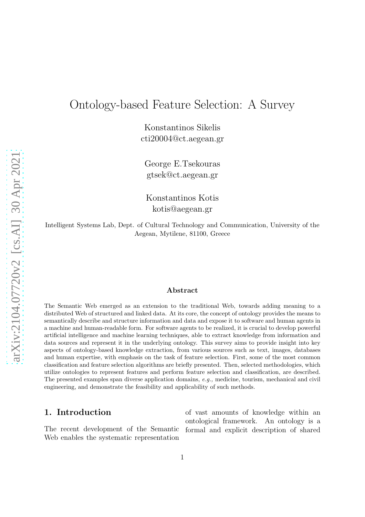# Ontology-based Feature Selection: A Survey

Konstantinos Sikelis cti20004@ct.aegean.gr

George E.Tsekouras gtsek@ct.aegean.gr

Konstantinos Kotis kotis@aegean.gr

Intelligent Systems Lab, Dept. of Cultural Technology and Communication, University of the Aegean, Mytilene, 81100, Greece

#### Abstract

The Semantic Web emerged as an extension to the traditional Web, towards adding meaning to a distributed Web of structured and linked data. At its core, the concept of ontology provides the means to semantically describe and structure information and data and expose it to software and human agents in a machine and human-readable form. For software agents to be realized, it is crucial to develop powerful artificial intelligence and machine learning techniques, able to extract knowledge from information and data sources and represent it in the underlying ontology. This survey aims to provide insight into key aspects of ontology-based knowledge extraction, from various sources such as text, images, databases and human expertise, with emphasis on the task of feature selection. First, some of the most common classification and feature selection algorithms are briefly presented. Then, selected methodologies, which utilize ontologies to represent features and perform feature selection and classification, are described. The presented examples span diverse application domains, e.g., medicine, tourism, mechanical and civil engineering, and demonstrate the feasibility and applicability of such methods.

#### 1. Introduction

The recent development of the Semantic Web enables the systematic representation

of vast amounts of knowledge within an ontological framework. An ontology is a formal and explicit description of shared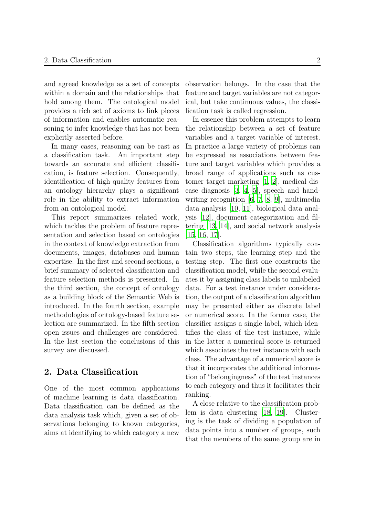and agreed knowledge as a set of concepts within a domain and the relationships that hold among them. The ontological model provides a rich set of axioms to link pieces of information and enables automatic reasoning to infer knowledge that has not been explicitly asserted before.

In many cases, reasoning can be cast as a classification task. An important step towards an accurate and efficient classification, is feature selection. Consequently, identification of high-quality features from an ontology hierarchy plays a significant role in the ability to extract information from an ontological model.

This report summarizes related work, which tackles the problem of feature representation and selection based on ontologies in the context of knowledge extraction from documents, images, databases and human expertise. In the first and second sections, a brief summary of selected classification and feature selection methods is presented. In the third section, the concept of ontology as a building block of the Semantic Web is introduced. In the fourth section, example methodologies of ontology-based feature selection are summarized. In the fifth section open issues and challenges are considered. In the last section the conclusions of this survey are discussed.

### 2. Data Classification

One of the most common applications of machine learning is data classification. Data classification can be defined as the data analysis task which, given a set of observations belonging to known categories, aims at identifying to which category a new

observation belongs. In the case that the feature and target variables are not categorical, but take continuous values, the classification task is called regression.

In essence this problem attempts to learn the relationship between a set of feature variables and a target variable of interest. In practice a large variety of problems can be expressed as associations between feature and target variables which provides a broad range of applications such as customer target marketing [\[1](#page-20-0), [2\]](#page-20-1), medical disease diagnosis [\[3](#page-20-2), [4,](#page-20-3) [5](#page-20-4)], speech and handwriting recognition [\[6](#page-20-5), [7,](#page-20-6) [8](#page-20-7), [9\]](#page-20-8), multimedia data analysis [\[10](#page-20-9), [11](#page-20-10)], biological data analysis [\[12\]](#page-21-0), document categorization and filtering [\[13](#page-21-1), [14\]](#page-21-2), and social network analysis [\[15](#page-21-3), [16,](#page-21-4) [17\]](#page-21-5).

Classification algorithms typically contain two steps, the learning step and the testing step. The first one constructs the classification model, while the second evaluates it by assigning class labels to unlabeled data. For a test instance under consideration, the output of a classification algorithm may be presented either as discrete label or numerical score. In the former case, the classifier assigns a single label, which identifies the class of the test instance, while in the latter a numerical score is returned which associates the test instance with each class. The advantage of a numerical score is that it incorporates the additional information of "belongingness" of the test instances to each category and thus it facilitates their ranking.

A close relative to the classification problem is data clustering [\[18,](#page-21-6) [19](#page-21-7)]. Clustering is the task of dividing a population of data points into a number of groups, such that the members of the same group are in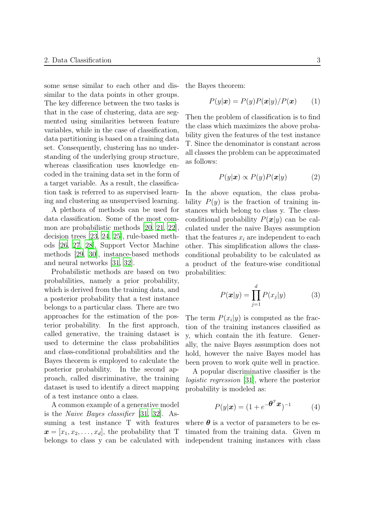some sense similar to each other and dissimilar to the data points in other groups. The key difference between the two tasks is that in the case of clustering, data are segmented using similarities between feature variables, while in the case of classification, data partitioning is based on a training data set. Consequently, clustering has no understanding of the underlying group structure, whereas classification uses knowledge encoded in the training data set in the form of a target variable. As a result, the classification task is referred to as supervised learning and clustering as unsupervised learning.

A plethora of methods can be used for data classification. Some of the most common are probabilistic methods [\[20,](#page-21-8) [21,](#page-21-9) [22\]](#page-21-10), decision trees [\[23,](#page-21-11) [24,](#page-21-12) [25](#page-21-13)], rule-based methods [\[26,](#page-21-14) [27](#page-21-15), [28\]](#page-21-16), Support Vector Machine methods [\[29,](#page-21-17) [30](#page-21-18)], instance-based methods and neural networks [\[31,](#page-21-19) [32\]](#page-21-20).

Probabilistic methods are based on two probabilities, namely a prior probability, which is derived from the training data, and a posterior probability that a test instance belongs to a particular class. There are two approaches for the estimation of the posterior probability. In the first approach, called generative, the training dataset is used to determine the class probabilities and class-conditional probabilities and the Bayes theorem is employed to calculate the posterior probability. In the second approach, called discriminative, the training dataset is used to identify a direct mapping of a test instance onto a class.

A common example of a generative model is the Naive Bayes classifier [\[31,](#page-21-19) [32](#page-21-20)]. Assuming a test instance T with features  $\boldsymbol{x} = [x_1, x_2, \dots, x_d]$ , the probability that T belongs to class y can be calculated with the Bayes theorem:

$$
P(y|\boldsymbol{x}) = P(y)P(\boldsymbol{x}|y)/P(\boldsymbol{x}) \qquad (1)
$$

Then the problem of classification is to find the class which maximizes the above probability given the features of the test instance T. Since the denominator is constant across all classes the problem can be approximated as follows:

$$
P(y|\boldsymbol{x}) \propto P(y)P(\boldsymbol{x}|y) \tag{2}
$$

In the above equation, the class probability  $P(y)$  is the fraction of training instances which belong to class y. The classconditional probability  $P(x|y)$  can be calculated under the naive Bayes assumption that the features  $x_i$  are independent to each other. This simplification allows the classconditional probability to be calculated as a product of the feature-wise conditional probabilities:

$$
P(\boldsymbol{x}|y) = \prod_{j=1}^{d} P(x_j|y)
$$
 (3)

The term  $P(x_i|y)$  is computed as the fraction of the training instances classified as y, which contain the ith feature. Generally, the naive Bayes assumption does not hold, however the naive Bayes model has been proven to work quite well in practice.

A popular discriminative classifier is the logistic regression [\[31\]](#page-21-19), where the posterior probability is modeled as:

$$
P(y|\boldsymbol{x}) = (1 + e^{-\boldsymbol{\theta}^T \boldsymbol{x}})^{-1}
$$
 (4)

where  $\theta$  is a vector of parameters to be estimated from the training data. Given m independent training instances with class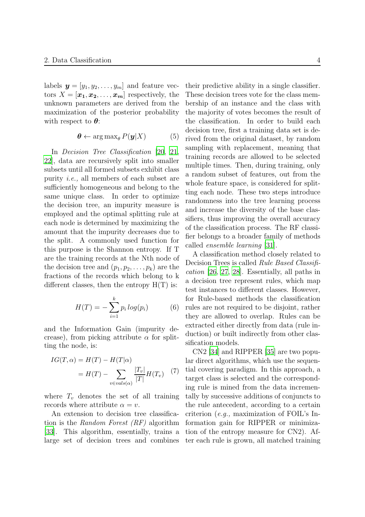labels  $\mathbf{y} = [y_1, y_2, \dots, y_m]$  and feature vectors  $X = [\mathbf{x_1}, \mathbf{x_2}, \dots, \mathbf{x_m}]$  respectively, the unknown parameters are derived from the maximization of the posterior probability with respect to  $\theta$ :

$$
\boldsymbol{\theta} \leftarrow \arg \max_{\boldsymbol{\theta}} P(\boldsymbol{y}|X) \tag{5}
$$

In Decision Tree Classification [\[20,](#page-21-8) [21,](#page-21-9) [22\]](#page-21-10), data are recursively split into smaller subsets until all formed subsets exhibit class purity i.e., all members of each subset are sufficiently homogeneous and belong to the same unique class. In order to optimize the decision tree, an impurity measure is employed and the optimal splitting rule at each node is determined by maximizing the amount that the impurity decreases due to the split. A commonly used function for this purpose is the Shannon entropy. If T are the training records at the Nth node of the decision tree and  $(p_1, p_2, \ldots, p_k)$  are the fractions of the records which belong to k different classes, then the entropy  $H(T)$  is:

$$
H(T) = -\sum_{i=1}^{k} p_i \log(p_i) \tag{6}
$$

and the Information Gain (impurity decrease), from picking attribute  $\alpha$  for splitting the node, is:

$$
IG(T, \alpha) = H(T) - H(T|\alpha)
$$
  
=  $H(T) - \sum_{v \in vals(\alpha)} \frac{|T_v|}{|T|} H(T_v)$  (7)

where  $T_v$  denotes the set of all training records where attribute  $\alpha = v$ .

An extension to decision tree classification is the Random Forest (RF) algorithm [\[33](#page-22-0)]. This algorithm, essentially, trains a large set of decision trees and combines

their predictive ability in a single classifier. These decision trees vote for the class membership of an instance and the class with the majority of votes becomes the result of the classification. In order to build each decision tree, first a training data set is derived from the original dataset, by random sampling with replacement, meaning that training records are allowed to be selected multiple times. Then, during training, only a random subset of features, out from the whole feature space, is considered for splitting each node. These two steps introduce randomness into the tree learning process and increase the diversity of the base classifiers, thus improving the overall accuracy of the classification process. The RF classifier belongs to a broader family of methods called ensemble learning [\[31\]](#page-21-19).

A classification method closely related to Decision Trees is called Rule Based Classification [\[26,](#page-21-14) [27,](#page-21-15) [28\]](#page-21-16). Essentially, all paths in a decision tree represent rules, which map test instances to different classes. However, for Rule-based methods the classification rules are not required to be disjoint, rather they are allowed to overlap. Rules can be extracted either directly from data (rule induction) or built indirectly from other classification models.

CN2 [\[34\]](#page-22-1) and RIPPER [\[35\]](#page-22-2) are two popular direct algorithms, which use the sequential covering paradigm. In this approach, a target class is selected and the corresponding rule is mined from the data incrementally by successive additions of conjuncts to the rule antecedent, according to a certain criterion (e.g., maximization of FOIL's Information gain for RIPPER or minimization of the entropy measure for CN2). After each rule is grown, all matched training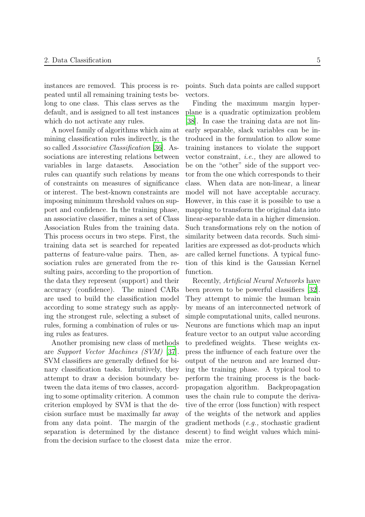instances are removed. This process is repeated until all remaining training tests belong to one class. This class serves as the default, and is assigned to all test instances which do not activate any rules.

A novel family of algorithms which aim at mining classification rules indirectly, is the so called Associative Classification [\[36\]](#page-22-3). Associations are interesting relations between variables in large datasets. Association rules can quantify such relations by means of constraints on measures of significance or interest. The best-known constraints are imposing minimum threshold values on support and confidence. In the training phase, an associative classifier, mines a set of Class Association Rules from the training data. This process occurs in two steps. First, the training data set is searched for repeated patterns of feature-value pairs. Then, association rules are generated from the resulting pairs, according to the proportion of the data they represent (support) and their accuracy (confidence). The mined CARs are used to build the classification model according to some strategy such as applying the strongest rule, selecting a subset of rules, forming a combination of rules or using rules as features.

Another promising new class of methods are Support Vector Machines (SVM) [\[37\]](#page-22-4). SVM classifiers are generally defined for binary classification tasks. Intuitively, they attempt to draw a decision boundary between the data items of two classes, according to some optimality criterion. A common criterion employed by SVM is that the decision surface must be maximally far away from any data point. The margin of the separation is determined by the distance from the decision surface to the closest data points. Such data points are called support vectors.

Finding the maximum margin hyperplane is a quadratic optimization problem [\[38](#page-22-5)]. In case the training data are not linearly separable, slack variables can be introduced in the formulation to allow some training instances to violate the support vector constraint, i.e., they are allowed to be on the "other" side of the support vector from the one which corresponds to their class. When data are non-linear, a linear model will not have acceptable accuracy. However, in this case it is possible to use a mapping to transform the original data into linear-separable data in a higher dimension. Such transformations rely on the notion of similarity between data records. Such similarities are expressed as dot-products which are called kernel functions. A typical function of this kind is the Gaussian Kernel function.

Recently, Artificial Neural Networks have been proven to be powerful classifiers [\[32\]](#page-21-20). They attempt to mimic the human brain by means of an interconnected network of simple computational units, called neurons. Neurons are functions which map an input feature vector to an output value according to predefined weights. These weights express the influence of each feature over the output of the neuron and are learned during the training phase. A typical tool to perform the training process is the backpropagation algorithm. Backpropagation uses the chain rule to compute the derivative of the error (loss function) with respect of the weights of the network and applies gradient methods (e.g., stochastic gradient descent) to find weight values which minimize the error.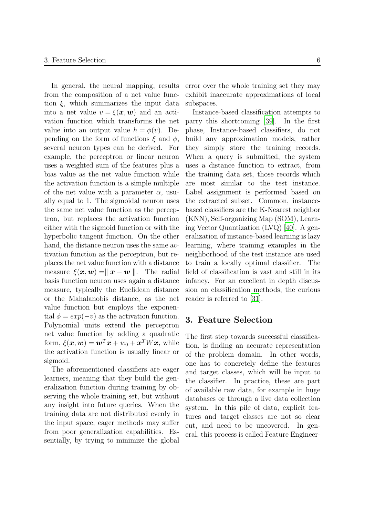In general, the neural mapping, results from the composition of a net value function  $\xi$ , which summarizes the input data into a net value  $v = \xi(\mathbf{x}, \mathbf{w})$  and an activation function which transforms the net value into an output value  $h = \phi(v)$ . Depending on the form of functions  $\xi$  and  $\phi$ , several neuron types can be derived. For example, the perceptron or linear neuron uses a weighted sum of the features plus a bias value as the net value function while the activation function is a simple multiple of the net value with a parameter  $\alpha$ , usually equal to 1. The sigmoidal neuron uses the same net value function as the perceptron, but replaces the activation function either with the sigmoid function or with the hyperbolic tangent function. On the other hand, the distance neuron uses the same activation function as the perceptron, but replaces the net value function with a distance measure  $\xi(x, w) = ||x - w||$ . The radial basis function neuron uses again a distance measure, typically the Euclidean distance or the Mahalanobis distance, as the net value function but employs the exponential  $\phi = exp(-v)$  as the activation function. Polynomial units extend the perceptron net value function by adding a quadratic form,  $\xi(\boldsymbol{x}, \boldsymbol{w}) = \boldsymbol{w}^T \boldsymbol{x} + w_0 + \boldsymbol{x}^T W \boldsymbol{x}$ , while the activation function is usually linear or sigmoid.

The aforementioned classifiers are eager learners, meaning that they build the generalization function during training by observing the whole training set, but without any insight into future queries. When the training data are not distributed evenly in the input space, eager methods may suffer from poor generalization capabilities. Essentially, by trying to minimize the global

error over the whole training set they may exhibit inaccurate approximations of local subspaces.

Instance-based classification attempts to parry this shortcoming [\[39\]](#page-22-6). In the first phase, Instance-based classifiers, do not build any approximation models, rather they simply store the training records. When a query is submitted, the system uses a distance function to extract, from the training data set, those records which are most similar to the test instance. Label assignment is performed based on the extracted subset. Common, instancebased classifiers are the K-Nearest neighbor (KNN), Self-organizing Map (SOM), Learning Vector Quantization (LVQ) [\[40\]](#page-22-7). A generalization of instance-based learning is lazy learning, where training examples in the neighborhood of the test instance are used to train a locally optimal classifier. The field of classification is vast and still in its infancy. For an excellent in depth discussion on classification methods, the curious reader is referred to [\[31](#page-21-19)].

#### 3. Feature Selection

The first step towards successful classification, is finding an accurate representation of the problem domain. In other words, one has to concretely define the features and target classes, which will be input to the classifier. In practice, these are part of available raw data, for example in huge databases or through a live data collection system. In this pile of data, explicit features and target classes are not so clear cut, and need to be uncovered. In general, this process is called Feature Engineer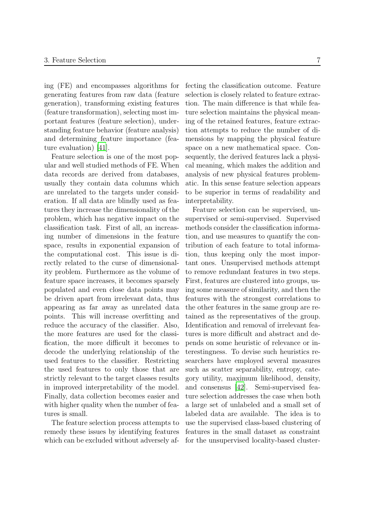ing (FE) and encompasses algorithms for generating features from raw data (feature generation), transforming existing features (feature transformation), selecting most important features (feature selection), understanding feature behavior (feature analysis) and determining feature importance (feature evaluation) [\[41\]](#page-22-8).

Feature selection is one of the most popular and well studied methods of FE. When data records are derived from databases, usually they contain data columns which are unrelated to the targets under consideration. If all data are blindly used as features they increase the dimensionality of the problem, which has negative impact on the classification task. First of all, an increasing number of dimensions in the feature space, results in exponential expansion of the computational cost. This issue is directly related to the curse of dimensionality problem. Furthermore as the volume of feature space increases, it becomes sparsely populated and even close data points may be driven apart from irrelevant data, thus appearing as far away as unrelated data points. This will increase overfitting and reduce the accuracy of the classifier. Also, the more features are used for the classification, the more difficult it becomes to decode the underlying relationship of the used features to the classifier. Restricting the used features to only those that are strictly relevant to the target classes results in improved interpretability of the model. Finally, data collection becomes easier and with higher quality when the number of features is small.

The feature selection process attempts to remedy these issues by identifying features which can be excluded without adversely affecting the classification outcome. Feature selection is closely related to feature extraction. The main difference is that while feature selection maintains the physical meaning of the retained features, feature extraction attempts to reduce the number of dimensions by mapping the physical feature space on a new mathematical space. Consequently, the derived features lack a physical meaning, which makes the addition and analysis of new physical features problematic. In this sense feature selection appears to be superior in terms of readability and interpretability.

Feature selection can be supervised, unsupervised or semi-supervised. Supervised methods consider the classification information, and use measures to quantify the contribution of each feature to total information, thus keeping only the most important ones. Unsupervised methods attempt to remove redundant features in two steps. First, features are clustered into groups, using some measure of similarity, and then the features with the strongest correlations to the other features in the same group are retained as the representatives of the group. Identification and removal of irrelevant features is more difficult and abstract and depends on some heuristic of relevance or interestingness. To devise such heuristics researchers have employed several measures such as scatter separability, entropy, category utility, maximum likelihood, density, and consensus [\[42\]](#page-22-9). Semi-supervised feature selection addresses the case when both a large set of unlabeled and a small set of labeled data are available. The idea is to use the supervised class-based clustering of features in the small dataset as constraint for the unsupervised locality-based cluster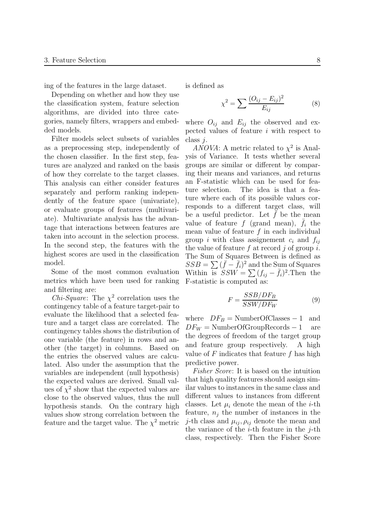ing of the features in the large dataset.

Depending on whether and how they use the classification system, feature selection algorithms, are divided into three categories, namely filters, wrappers and embedded models.

Filter models select subsets of variables as a preprocessing step, independently of the chosen classifier. In the first step, features are analyzed and ranked on the basis of how they correlate to the target classes. This analysis can either consider features separately and perform ranking independently of the feature space (univariate), or evaluate groups of features (multivariate). Multivariate analysis has the advantage that interactions between features are taken into account in the selection process. In the second step, the features with the highest scores are used in the classification model.

Some of the most common evaluation metrics which have been used for ranking and filtering are:

*Chi-Square:* The  $\chi^2$  correlation uses the contingency table of a feature target-pair to evaluate the likelihood that a selected feature and a target class are correlated. The contingency tables shows the distribution of one variable (the feature) in rows and another (the target) in columns. Based on the entries the observed values are calculated. Also under the assumption that the variables are independent (null hypothesis) the expected values are derived. Small values of  $\chi^2$  show that the expected values are close to the observed values, thus the null hypothesis stands. On the contrary high values show strong correlation between the feature and the target value. The  $\chi^2$  metric

is defined as

$$
\chi^2 = \sum \frac{(O_{ij} - E_{ij})^2}{E_{ij}} \tag{8}
$$

where  $O_{ij}$  and  $E_{ij}$  the observed and expected values of feature  $i$  with respect to class j.

ANOVA: A metric related to  $\chi^2$  is Analysis of Variance. It tests whether several groups are similar or different by comparing their means and variances, and returns an F-statistic which can be used for feature selection. The idea is that a feature where each of its possible values corresponds to a different target class, will be a useful predictor. Let  $f$  be the mean value of feature f (grand mean),  $f_i$  the mean value of feature  $f$  in each individual group i with class assignement  $c_i$  and  $f_{ii}$ the value of feature  $f$  at record  $j$  of group  $i$ . The Sum of Squares Between is defined as  $SSB = \sum_{\vec{q}} (\bar{f} - \bar{f}_i)^2$  and the Sum of Squares Within is  $SSW = \sum (f_{ij} - \bar{f}_i)^2$ . Then the F-statistic is computed as:

$$
F = \frac{SSB/DF_B}{SSW/DF_W} \tag{9}
$$

where  $DF_B$  = NumberOfClasses – 1 and<br> $DF_W$  = NumberOfGroupRecords – 1 are  $DF_W =$ NumberOfGroupRecords – 1 the degrees of freedom of the target group and feature group respectively. A high value of  $F$  indicates that feature  $f$  has high predictive power.

Fisher Score: It is based on the intuition that high quality features should assign similar values to instances in the same class and different values to instances from different classes. Let  $\mu_i$  denote the mean of the *i*-th feature,  $n_i$  the number of instances in the j-th class and  $\mu_{ij}, \rho_{ij}$  denote the mean and the variance of the  $i$ -th feature in the  $j$ -th class, respectively. Then the Fisher Score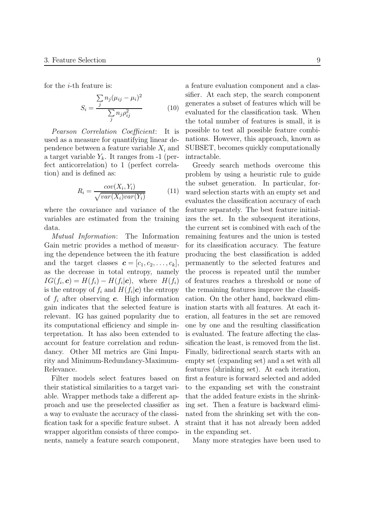for the  $i$ -th feature is:

$$
S_i = \frac{\sum_{j} n_j (\mu_{ij} - \mu_i)^2}{\sum_{j} n_j \rho_{ij}^2}
$$
 (10)

Pearson Correlation Coefficient: It is used as a measure for quantifying linear dependence between a feature variable  $X_i$  and a target variable  $Y_k$ . It ranges from -1 (perfect anticorrelation) to 1 (perfect correlation) and is defined as:

$$
R_i = \frac{cov(X_i, Y_i)}{\sqrt{var(X_i)var(Y_i)}}\tag{11}
$$

where the covariance and variance of the variables are estimated from the training data.

Mutual Information: The Information Gain metric provides a method of measuring the dependence between the ith feature and the target classes  $\mathbf{c} = [c_1, c_2, \ldots, c_k],$ as the decrease in total entropy, namely  $IG(f_i, \mathbf{c}) = H(f_i) - H(f_i|\mathbf{c}),$  where  $H(f_i)$ is the entropy of  $f_i$  and  $H(f_i|\boldsymbol{c})$  the entropy of  $f_i$  after observing c. High information gain indicates that the selected feature is relevant. IG has gained popularity due to its computational efficiency and simple interpretation. It has also been extended to account for feature correlation and redundancy. Other MI metrics are Gini Impurity and Minimum-Redundancy-Maximum-Relevance.

Filter models select features based on their statistical similarities to a target variable. Wrapper methods take a different approach and use the preselected classifier as a way to evaluate the accuracy of the classification task for a specific feature subset. A wrapper algorithm consists of three components, namely a feature search component,

a feature evaluation component and a classifier. At each step, the search component generates a subset of features which will be evaluated for the classification task. When the total number of features is small, it is possible to test all possible feature combinations. However, this approach, known as SUBSET, becomes quickly computationally intractable.

Greedy search methods overcome this problem by using a heuristic rule to guide the subset generation. In particular, forward selection starts with an empty set and evaluates the classification accuracy of each feature separately. The best feature initializes the set. In the subsequent iterations, the current set is combined with each of the remaining features and the union is tested for its classification accuracy. The feature producing the best classification is added permanently to the selected features and the process is repeated until the number of features reaches a threshold or none of the remaining features improve the classification. On the other hand, backward elimination starts with all features. At each iteration, all features in the set are removed one by one and the resulting classification is evaluated. The feature affecting the classification the least, is removed from the list. Finally, bidirectional search starts with an empty set (expanding set) and a set with all features (shrinking set). At each iteration, first a feature is forward selected and added to the expanding set with the constraint that the added feature exists in the shrinking set. Then a feature is backward eliminated from the shrinking set with the constraint that it has not already been added in the expanding set.

Many more strategies have been used to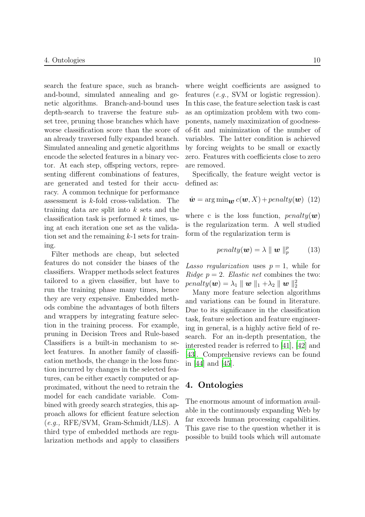search the feature space, such as branchand-bound, simulated annealing and genetic algorithms. Branch-and-bound uses depth-search to traverse the feature subset tree, pruning those branches which have worse classification score than the score of an already traversed fully expanded branch. Simulated annealing and genetic algorithms encode the selected features in a binary vector. At each step, offspring vectors, representing different combinations of features, are generated and tested for their accuracy. A common technique for performance assessment is k-fold cross-validation. The training data are split into  $k$  sets and the classification task is performed  $k$  times, using at each iteration one set as the validation set and the remaining  $k-1$  sets for training.

Filter methods are cheap, but selected features do not consider the biases of the classifiers. Wrapper methods select features tailored to a given classifier, but have to run the training phase many times, hence they are very expensive. Embedded methods combine the advantages of both filters and wrappers by integrating feature selection in the training process. For example, pruning in Decision Trees and Rule-based Classifiers is a built-in mechanism to select features. In another family of classification methods, the change in the loss function incurred by changes in the selected features, can be either exactly computed or approximated, without the need to retrain the model for each candidate variable. Combined with greedy search strategies, this approach allows for efficient feature selection (e.g., RFE/SVM, Gram-Schmidt/LLS). A third type of embedded methods are regularization methods and apply to classifiers

where weight coefficients are assigned to features (e.g., SVM or logistic regression). In this case, the feature selection task is cast as an optimization problem with two components, namely maximization of goodnessof-fit and minimization of the number of variables. The latter condition is achieved by forcing weights to be small or exactly zero. Features with coefficients close to zero are removed.

Specifically, the feature weight vector is defined as:

$$
\hat{\mathbf{w}} = \arg\min_{\mathbf{w}} c(\mathbf{w}, X) + penalty(\mathbf{w}) \tag{12}
$$

where c is the loss function,  $penalty(w)$ is the regularization term. A well studied form of the regularization term is

$$
penalty(\boldsymbol{w}) = \lambda \parallel \boldsymbol{w} \parallel_p^p \qquad (13)
$$

Lasso regularization uses  $p = 1$ , while for Ridge  $p = 2$ . Elastic net combines the two:  $penalty(\boldsymbol{w}) = \lambda_1 \parallel \boldsymbol{w} \parallel_1 + \lambda_2 \parallel \boldsymbol{w} \parallel_2^2$ 

Many more feature selection algorithms and variations can be found in literature. Due to its significance in the classification task, feature selection and feature engineering in general, is a highly active field of research. For an in-depth presentation, the interested reader is referred to [\[41](#page-22-8)], [\[42](#page-22-9)] and [\[43](#page-22-10)]. Comprehensive reviews can be found in [\[44\]](#page-22-11) and [\[45\]](#page-22-12).

### 4. Ontologies

The enormous amount of information available in the continuously expanding Web by far exceeds human processing capabilities. This gave rise to the question whether it is possible to build tools which will automate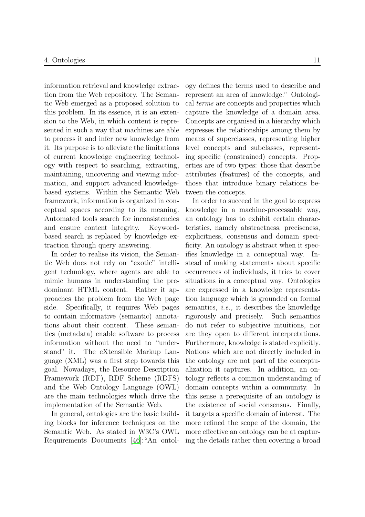information retrieval and knowledge extraction from the Web repository. The Semantic Web emerged as a proposed solution to this problem. In its essence, it is an extension to the Web, in which content is represented in such a way that machines are able to process it and infer new knowledge from it. Its purpose is to alleviate the limitations of current knowledge engineering technology with respect to searching, extracting, maintaining, uncovering and viewing information, and support advanced knowledgebased systems. Within the Semantic Web framework, information is organized in conceptual spaces according to its meaning. Automated tools search for inconsistencies and ensure content integrity. Keywordbased search is replaced by knowledge extraction through query answering.

In order to realise its vision, the Semantic Web does not rely on "exotic" intelligent technology, where agents are able to mimic humans in understanding the predominant HTML content. Rather it approaches the problem from the Web page side. Specifically, it requires Web pages to contain informative (semantic) annotations about their content. These semantics (metadata) enable software to process information without the need to "understand" it. The eXtensible Markup Language (XML) was a first step towards this goal. Nowadays, the Resource Description Framework (RDF), RDF Scheme (RDFS) and the Web Ontology Language (OWL) are the main technologies which drive the implementation of the Semantic Web.

In general, ontologies are the basic building blocks for inference techniques on the Semantic Web. As stated in W3C's OWL Requirements Documents [\[46\]](#page-22-13):"An ontology defines the terms used to describe and represent an area of knowledge." Ontological terms are concepts and properties which capture the knowledge of a domain area. Concepts are organised in a hierarchy which expresses the relationships among them by means of superclasses, representing higher level concepts and subclasses, representing specific (constrained) concepts. Properties are of two types: those that describe attributes (features) of the concepts, and those that introduce binary relations between the concepts.

In order to succeed in the goal to express knowledge in a machine-processable way, an ontology has to exhibit certain characteristics, namely abstractness, preciseness, explicitness, consensus and domain specificity. An ontology is abstract when it specifies knowledge in a conceptual way. Instead of making statements about specific occurrences of individuals, it tries to cover situations in a conceptual way. Ontologies are expressed in a knowledge representation language which is grounded on formal semantics, i.e., it describes the knowledge rigorously and precisely. Such semantics do not refer to subjective intuitions, nor are they open to different interpretations. Furthermore, knowledge is stated explicitly. Notions which are not directly included in the ontology are not part of the conceptualization it captures. In addition, an ontology reflects a common understanding of domain concepts within a community. In this sense a prerequisite of an ontology is the existence of social consensus. Finally, it targets a specific domain of interest. The more refined the scope of the domain, the more effective an ontology can be at capturing the details rather then covering a broad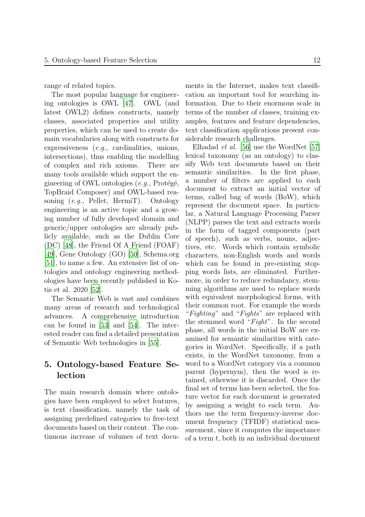range of related topics.

The most popular language for engineering ontologies is OWL [\[47\]](#page-22-14). OWL (and latest OWL2) defines constructs, namely classes, associated properties and utility properties, which can be used to create domain vocabularies along with constructs for expressiveness (e.g., cardinalities, unions, intersections), thus enabling the modelling of complex and rich axioms. There are many tools available which support the engineering of OWL ontologies  $(e,q)$ , Protégé, TopBraid Composer) and OWL-based reasoning  $(e.g.,$  Pellet, HermiT). Ontology engineering is an active topic and a growing number of fully developed domain and generic/upper ontologies are already publicly available, such as the Dublin Core (DC) [\[48](#page-22-15)], the Friend Of A Friend (FOAF) [\[49](#page-22-16)], Gene Ontology (GO) [\[50\]](#page-22-17), Schema.org [\[51](#page-22-18)], to name a few. An extensive list of ontologies and ontology engineering methodologies have been recently published in Kotis et al. 2020 [\[52\]](#page-22-19).

The Semantic Web is vast and combines many areas of research and technological advances. A comprehensive introduction can be found in [\[53](#page-22-20)] and [\[54\]](#page-22-21). The interested reader can find a detailed presentation of Semantic Web technologies in [\[55](#page-22-22)].

## 5. Ontology-based Feature Selection

The main research domain where ontologies have been employed to select features, is text classification, namely the task of assigning predefined categories to free-text documents based on their content. The continuous increase of volumes of text documents in the Internet, makes text classification an important tool for searching information. Due to their enormous scale in terms of the number of classes, training examples, features and feature dependencies, text classification applications present considerable research challenges.

Elhadad et al. [\[56](#page-22-23)] use the WordNet [\[57\]](#page-22-24) lexical taxonomy (as an ontology) to classify Web text documents based on their semantic similarities. In the first phase, a number of filters are applied to each document to extract an initial vector of terms, called bag of words (BoW), which represent the document space. In particular, a Natural Language Processing Parser (NLPP) parses the text and extracts words in the form of tagged components (part of speech), such as verbs, nouns, adjectives, etc. Words which contain symbolic characters, non-English words and words which can be found in pre-existing stopping words lists, are eliminated. Furthermore, in order to reduce redundancy, stemming algorithms are used to replace words with equivalent morphological forms, with their common root. For example the words "Fighting" and "Fights" are replaced with the stemmed word "Fight". In the second phase, all words in the initial BoW are examined for semantic similarities with categories in WordNet. Specifically, if a path exists, in the WordNet taxonomy, from a word to a WordNet category via a common parent (hypernym), then the word is retained, otherwise it is discarded. Once the final set of terms has been selected, the feature vector for each document is generated by assigning a weight to each term. Authors use the term frequency-inverse document frequency (TFIDF) statistical measurement, since it computes the importance of a term  $t$ , both in an individual document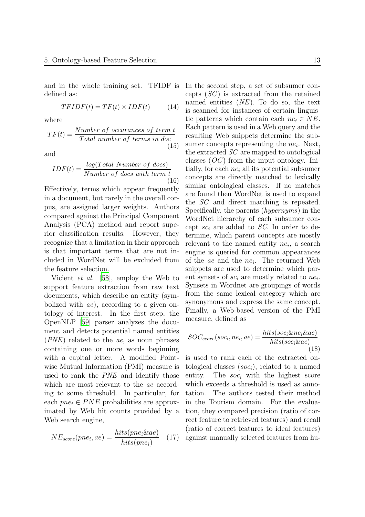and in the whole training set. TFIDF is defined as:

$$
TFIDF(t) = TF(t) \times IDF(t) \tag{14}
$$

where

$$
TF(t) = \frac{Number\ of\ occurrences\ of\ term\ t}{Total\ number\ of\ terms\ in\ doc}
$$
\n(15)

and

$$
IDF(t) = \frac{log(Total\ Number\ of\ docs)}{Number\ of\ docs\ with\ term\ t} \tag{16}
$$

Effectively, terms which appear frequently in a document, but rarely in the overall corpus, are assigned larger weights. Authors compared against the Principal Component Analysis (PCA) method and report superior classification results. However, they recognize that a limitation in their approach is that important terms that are not included in WordNet will be excluded from the feature selection.

Vicient et al. [\[58\]](#page-22-25), employ the Web to support feature extraction from raw text documents, which describe an entity (symbolized with ae), according to a given ontology of interest. In the first step, the OpenNLP [\[59\]](#page-22-26) parser analyzes the document and detects potential named entities (PNE) related to the ae, as noun phrases containing one or more words beginning with a capital letter. A modified Pointwise Mutual Information (PMI) measure is used to rank the PNE and identify those which are most relevant to the *ae* according to some threshold. In particular, for each  $pne_i \in PNE$  probabilities are approximated by Web hit counts provided by a Web search engine,

$$
NE_{score}(pne_i, ae) = \frac{hits(pne_i \& ae)}{hits(pne_i)} \quad (17)
$$

In the second step, a set of subsumer concepts  $(SC)$  is extracted from the retained named entities  $(NE)$ . To do so, the text is scanned for instances of certain linguistic patterns which contain each  $ne_i \in NE$ . Each pattern is used in a Web query and the resulting Web snippets determine the subsumer concepts representing the  $ne_i$ . Next, the extracted SC are mapped to ontological classes  $(OC)$  from the input ontology. Initially, for each  $ne_i$  all its potential subsumer concepts are directly matched to lexically similar ontological classes. If no matches are found then WordNet is used to expand the SC and direct matching is repeated. Specifically, the parents (hypernyms) in the WordNet hierarchy of each subsumer concept  $sc_i$  are added to SC. In order to determine, which parent concepts are mostly relevant to the named entity  $ne_i$ , a search engine is queried for common appearances of the *ae* and the  $ne_i$ . The returned Web snippets are used to determine which parent synsets of  $sc_i$  are mostly related to  $ne_i$ . Synsets in Wordnet are groupings of words from the same lexical category which are synonymous and express the same concept. Finally, a Web-based version of the PMI measure, defined as

$$
SOC_{score}(soc_i, ne_i, ae) = \frac{hits(soc_i \& ne_i \& ae)}{hits(soc_i \& ae)}
$$
\n(18)

is used to rank each of the extracted ontological classes  $(soc_i)$ , related to a named entity. The  $soc_i$  with the highest score which exceeds a threshold is used as annotation. The authors tested their method in the Tourism domain. For the evaluation, they compared precision (ratio of correct feature to retrieved features) and recall (ratio of correct features to ideal features) against manually selected features from hu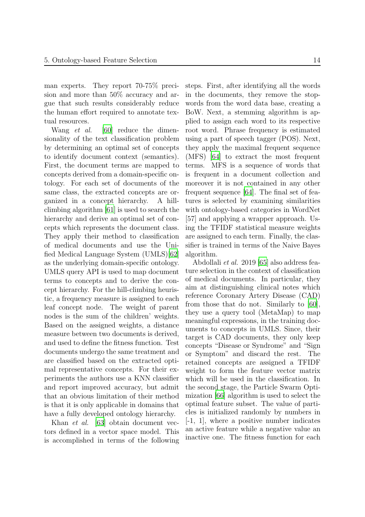man experts. They report 70-75% precision and more than 50% accuracy and argue that such results considerably reduce the human effort required to annotate textual resources.

Wang *et al.* [\[60](#page-23-0)] reduce the dimensionality of the text classification problem by determining an optimal set of concepts to identify document context (semantics). First, the document terms are mapped to concepts derived from a domain-specific ontology. For each set of documents of the same class, the extracted concepts are organized in a concept hierarchy. A hillclimbing algorithm [\[61\]](#page-23-1) is used to search the hierarchy and derive an optimal set of concepts which represents the document class. They apply their method to classification of medical documents and use the Unified Medical Language System (UMLS)[\[62\]](#page-23-2) as the underlying domain-specific ontology. UMLS query API is used to map document terms to concepts and to derive the concept hierarchy. For the hill-climbing heuristic, a frequency measure is assigned to each leaf concept node. The weight of parent nodes is the sum of the children' weights. Based on the assigned weights, a distance measure between two documents is derived, and used to define the fitness function. Test documents undergo the same treatment and are classified based on the extracted optimal representative concepts. For their experiments the authors use a KNN classifier and report improved accuracy, but admit that an obvious limitation of their method is that it is only applicable in domains that have a fully developed ontology hierarchy.

Khan et al. [\[63\]](#page-23-3) obtain document vectors defined in a vector space model. This is accomplished in terms of the following

steps. First, after identifying all the words in the documents, they remove the stopwords from the word data base, creating a BoW. Next, a stemming algorithm is applied to assign each word to its respective root word. Phrase frequency is estimated using a part of speech tagger (POS). Next, they apply the maximal frequent sequence (MFS) [\[64](#page-23-4)] to extract the most frequent terms. MFS is a sequence of words that is frequent in a document collection and moreover it is not contained in any other frequent sequence [\[64](#page-23-4)]. The final set of features is selected by examining similarities with ontology-based categories in WordNet [57] and applying a wrapper approach. Using the TFIDF statistical measure weights are assigned to each term. Finally, the classifier is trained in terms of the Naive Bayes algorithm.

Abdollali et al. 2019 [\[65\]](#page-23-5) also address feature selection in the context of classification of medical documents. In particular, they aim at distinguishing clinical notes which reference Coronary Artery Disease (CAD) from those that do not. Similarly to [\[60\]](#page-23-0), they use a query tool (MetaMap) to map meaningful expressions, in the training documents to concepts in UMLS. Since, their target is CAD documents, they only keep concepts "Disease or Syndrome" and "Sign or Symptom" and discard the rest. The retained concepts are assigned a TFIDF weight to form the feature vector matrix which will be used in the classification. In the second stage, the Particle Swarm Optimization [\[66\]](#page-23-6) algorithm is used to select the optimal feature subset. The value of particles is initialized randomly by numbers in [-1, 1], where a positive number indicates an active feature while a negative value an inactive one. The fitness function for each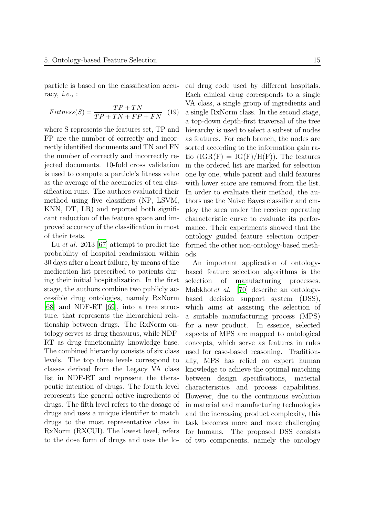particle is based on the classification accuracy,  $i.e.,$ :

$$
Fittness(S) = \frac{TP + TN}{TP + TN + FP + FN} \quad (19)
$$

where S represents the features set, TP and FP are the number of correctly and incorrectly identified documents and TN and FN the number of correctly and incorrectly rejected documents. 10-fold cross validation is used to compute a particle's fitness value as the average of the accuracies of ten classification runs. The authors evaluated their method using five classifiers (NP, LSVM, KNN, DT, LR) and reported both significant reduction of the feature space and improved accuracy of the classification in most of their tests.

Lu et al. 2013 [\[67\]](#page-23-7) attempt to predict the probability of hospital readmission within 30 days after a heart failure, by means of the medication list prescribed to patients during their initial hospitalization. In the first stage, the authors combine two publicly accessible drug ontologies, namely RxNorm [\[68](#page-23-8)] and NDF-RT [\[69](#page-23-9)], into a tree structure, that represents the hierarchical relationship between drugs. The RxNorm ontology serves as drug thesaurus, while NDF-RT as drug functionality knowledge base. The combined hierarchy consists of six class levels. The top three levels correspond to classes derived from the Legacy VA class list in NDF-RT and represent the therapeutic intention of drugs. The fourth level represents the general active ingredients of drugs. The fifth level refers to the dosage of drugs and uses a unique identifier to match drugs to the most representative class in RxNorm (RXCUI). The lowest level, refers to the dose form of drugs and uses the local drug code used by different hospitals. Each clinical drug corresponds to a single VA class, a single group of ingredients and a single RxNorm class. In the second stage, a top-down depth-first traversal of the tree hierarchy is used to select a subset of nodes as features. For each branch, the nodes are sorted according to the information gain ratio  $(IGR(F) = IG(F)/H(F))$ . The features in the ordered list are marked for selection one by one, while parent and child features with lower score are removed from the list. In order to evaluate their method, the authors use the Naive Bayes classifier and employ the area under the receiver operating characteristic curve to evaluate its performance. Their experiments showed that the ontology guided feature selection outperformed the other non-ontology-based methods.

An important application of ontologybased feature selection algorithms is the selection of manufacturing processes. Mabkhotet al. [\[70](#page-23-10)] describe an ontologybased decision support system (DSS), which aims at assisting the selection of a suitable manufacturing process (MPS) for a new product. In essence, selected aspects of MPS are mapped to ontological concepts, which serve as features in rules used for case-based reasoning. Traditionally, MPS has relied on expert human knowledge to achieve the optimal matching between design specifications, material characteristics and process capabilities. However, due to the continuous evolution in material and manufacturing technologies and the increasing product complexity, this task becomes more and more challenging for humans. The proposed DSS consists of two components, namely the ontology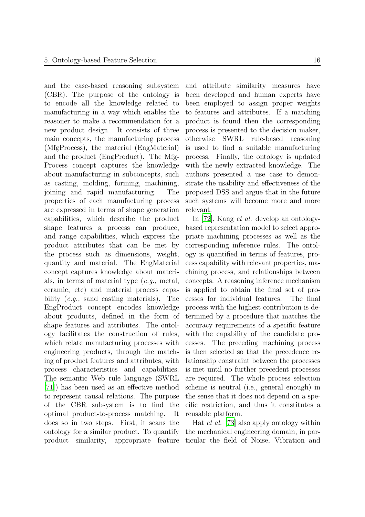and the case-based reasoning subsystem (CBR). The purpose of the ontology is to encode all the knowledge related to manufacturing in a way which enables the reasoner to make a recommendation for a new product design. It consists of three main concepts, the manufacturing process (MfgProcess), the material (EngMaterial) and the product (EngProduct). The Mfg-Process concept captures the knowledge about manufacturing in subconcepts, such as casting, molding, forming, machining, joining and rapid manufacturing. The properties of each manufacturing process are expressed in terms of shape generation capabilities, which describe the product shape features a process can produce, and range capabilities, which express the product attributes that can be met by the process such as dimensions, weight, quantity and material. The EngMaterial concept captures knowledge about materials, in terms of material type (e.g., metal, ceramic, etc) and material process capability (e.g., sand casting materials). The EngProduct concept encodes knowledge about products, defined in the form of shape features and attributes. The ontology facilitates the construction of rules, which relate manufacturing processes with engineering products, through the matching of product features and attributes, with process characteristics and capabilities. The semantic Web rule language (SWRL [\[71\]](#page-23-11)) has been used as an effective method to represent causal relations. The purpose of the CBR subsystem is to find the optimal product-to-process matching. It does so in two steps. First, it scans the ontology for a similar product. To quantify product similarity, appropriate feature ticular the field of Noise, Vibration and

and attribute similarity measures have been developed and human experts have been employed to assign proper weights to features and attributes. If a matching product is found then the corresponding process is presented to the decision maker, otherwise SWRL rule-based reasoning is used to find a suitable manufacturing process. Finally, the ontology is updated with the newly extracted knowledge. The authors presented a use case to demonstrate the usability and effectiveness of the proposed DSS and argue that in the future such systems will become more and more relevant.

In [\[72](#page-23-12)], Kang et al. develop an ontologybased representation model to select appropriate machining processes as well as the corresponding inference rules. The ontology is quantified in terms of features, process capability with relevant properties, machining process, and relationships between concepts. A reasoning inference mechanism is applied to obtain the final set of processes for individual features. The final process with the highest contribution is determined by a procedure that matches the accuracy requirements of a specific feature with the capability of the candidate processes. The preceding machining process is then selected so that the precedence relationship constraint between the processes is met until no further precedent processes are required. The whole process selection scheme is neutral (i.e., general enough) in the sense that it does not depend on a specific restriction, and thus it constitutes a reusable platform.

Hat et al. [\[73\]](#page-23-13) also apply ontology within the mechanical engineering domain, in par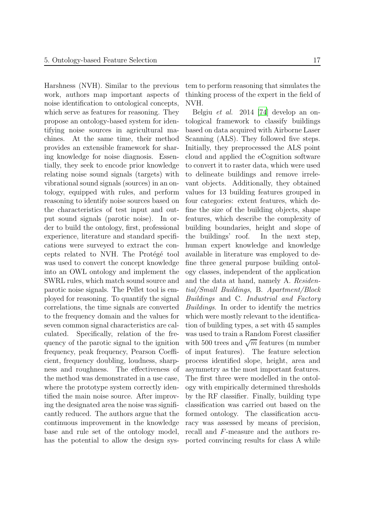Harshness (NVH). Similar to the previous work, authors map important aspects of noise identification to ontological concepts, which serve as features for reasoning. They propose an ontology-based system for identifying noise sources in agricultural machines. At the same time, their method provides an extensible framework for sharing knowledge for noise diagnosis. Essentially, they seek to encode prior knowledge relating noise sound signals (targets) with vibrational sound signals (sources) in an ontology, equipped with rules, and perform reasoning to identify noise sources based on the characteristics of test input and output sound signals (parotic noise). In order to build the ontology, first, professional experience, literature and standard specifications were surveyed to extract the concepts related to NVH. The Protégé tool was used to convert the concept knowledge into an OWL ontology and implement the SWRL rules, which match sound source and parotic noise signals. The Pellet tool is employed for reasoning. To quantify the signal correlations, the time signals are converted to the frequency domain and the values for seven common signal characteristics are calculated. Specifically, relation of the frequency of the parotic signal to the ignition frequency, peak frequency, Pearson Coefficient, frequency doubling, loudness, sharpness and roughness. The effectiveness of the method was demonstrated in a use case, where the prototype system correctly identified the main noise source. After improving the designated area the noise was significantly reduced. The authors argue that the continuous improvement in the knowledge base and rule set of the ontology model, has the potential to allow the design system to perform reasoning that simulates the thinking process of the expert in the field of NVH.

Belgiu et al. 2014 [\[74\]](#page-23-14) develop an ontological framework to classify buildings based on data acquired with Airborne Laser Scanning (ALS). They followed five steps. Initially, they preprocessed the ALS point cloud and applied the eCognition software to convert it to raster data, which were used to delineate buildings and remove irrelevant objects. Additionally, they obtained values for 13 building features grouped in four categories: extent features, which define the size of the building objects, shape features, which describe the complexity of building boundaries, height and slope of the buildings' roof. In the next step, human expert knowledge and knowledge available in literature was employed to define three general purpose building ontology classes, independent of the application and the data at hand, namely A. Residential/Small Buildings, B. Apartment/Block Buildings and C. Industrial and Factory Buildings. In order to identify the metrics which were mostly relevant to the identification of building types, a set with 45 samples was used to train a Random Forest classifier with 500 trees and  $\sqrt{m}$  features (m number of input features). The feature selection process identified slope, height, area and asymmetry as the most important features. The first three were modelled in the ontology with empirically determined thresholds by the RF classifier. Finally, building type classification was carried out based on the formed ontology. The classification accuracy was assessed by means of precision, recall and F-measure and the authors reported convincing results for class A while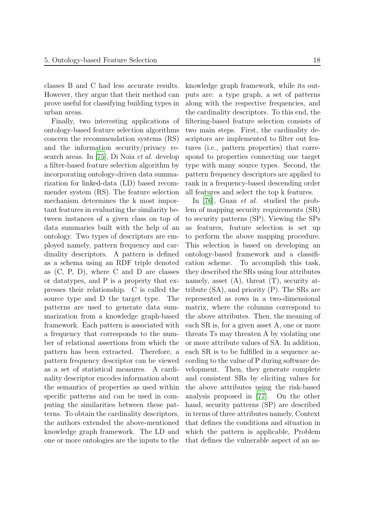classes B and C had less accurate results. However, they argue that their method can prove useful for classifying building types in urban areas.

Finally, two interesting applications of ontology-based feature selection algorithms concern the recommendation systems (RS) and the information security/privacy research areas. In [\[75](#page-23-15)], Di Noia et al. develop a filter-based feature selection algorithm by incorporating ontology-driven data summarization for linked-data (LD) based recommender system (RS). The feature selection mechanism determines the k most important features in evaluating the similarity between instances of a given class on top of data summaries built with the help of an ontology. Two types of descriptors are employed namely, pattern frequency and cardinality descriptors. A pattern is defined as a schema using an RDF triple denoted as (C, P, D), where C and D are classes or datatypes, and P is a property that expresses their relationship. C is called the source type and D the target type. The patterns are used to generate data summarization from a knowledge graph-based framework. Each pattern is associated with a frequency that corresponds to the number of relational assertions from which the pattern has been extracted. Therefore, a pattern frequency descriptor can be viewed as a set of statistical measures. A cardinality descriptor encodes information about the semantics of properties as used within specific patterns and can be used in computing the similarities between these patterns. To obtain the cardinality descriptors, the authors extended the above-mentioned knowledge graph framework. The LD and one or more ontologies are the inputs to the

knowledge graph framework, while its outputs are: a type graph, a set of patterns along with the respective frequencies, and the cardinality descriptors. To this end, the filtering-based feature selection consists of two main steps. First, the cardinality descriptors are implemented to filter out features (i.e., pattern properties) that correspond to properties connecting one target type with many source types. Second, the pattern frequency descriptors are applied to rank in a frequency-based descending order all features and select the top k features.

In [\[76](#page-23-16)], Guan *et al.* studied the problem of mapping security requirements (SR) to security patterns (SP). Viewing the SPs as features, feature selection is set up to perform the above mapping procedure. This selection is based on developing an ontology-based framework and a classification scheme. To accomplish this task, they described the SRs using four attributes namely, asset  $(A)$ , threat  $(T)$ , security attribute (SA), and priority (P). The SRs are represented as rows in a two-dimensional matrix, where the columns correspond to the above attributes. Then, the meaning of each SR is, for a given asset A, one or more threats Ts may threaten A by violating one or more attribute values of SA. In addition, each SR is to be fulfilled in a sequence according to the value of P during software development. Then, they generate complete and consistent SRs by eliciting values for the above attributes using the risk-based analysis proposed in [\[77](#page-23-17)]. On the other hand, security patterns (SP) are described in terms of three attributes namely, Context that defines the conditions and situation in which the pattern is applicable, Problem that defines the vulnerable aspect of an as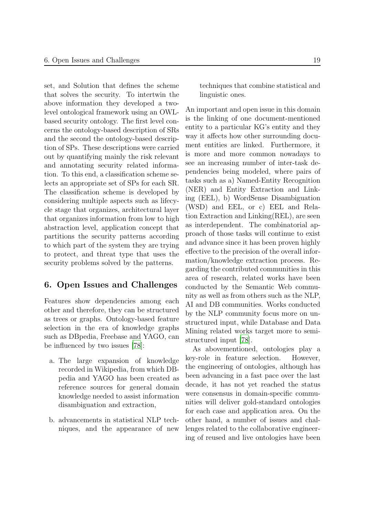set, and Solution that defines the scheme that solves the security. To intertwin the above information they developed a twolevel ontological framework using an OWLbased security ontology. The first level concerns the ontology-based description of SRs and the second the ontology-based description of SPs. These descriptions were carried out by quantifying mainly the risk relevant and annotating security related information. To this end, a classification scheme selects an appropriate set of SPs for each SR. The classification scheme is developed by considering multiple aspects such as lifecycle stage that organizes, architectural layer that organizes information from low to high abstraction level, application concept that partitions the security patterns according to which part of the system they are trying to protect, and threat type that uses the security problems solved by the patterns.

### 6. Open Issues and Challenges

Features show dependencies among each other and therefore, they can be structured as trees or graphs. Ontology-based feature selection in the era of knowledge graphs such as DBpedia, Freebase and YAGO, can be influenced by two issues [\[78](#page-23-18)]:

- a. The large expansion of knowledge recorded in Wikipedia, from which DBpedia and YAGO has been created as reference sources for general domain knowledge needed to assist information disambiguation and extraction,
- b. advancements in statistical NLP techniques, and the appearance of new

techniques that combine statistical and linguistic ones.

An important and open issue in this domain is the linking of one document-mentioned entity to a particular KG's entity and they way it affects how other surrounding document entities are linked. Furthermore, it is more and more common nowadays to see an increasing number of inter-task dependencies being modeled, where pairs of tasks such as a) Named-Entity Recognition (NER) and Entity Extraction and Linking (EEL), b) WordSense Disambiguation (WSD) and EEL, or c) EEL and Relation Extraction and Linking(REL), are seen as interdependent. The combinatorial approach of those tasks will continue to exist and advance since it has been proven highly effective to the precision of the overall information/knowledge extraction process. Regarding the contributed communities in this area of research, related works have been conducted by the Semantic Web community as well as from others such as the NLP, AI and DB communities. Works conducted by the NLP community focus more on unstructured input, while Database and Data Mining related works target more to semistructured input [\[78\]](#page-23-18).

As abovementioned, ontologies play a key-role in feature selection. However, the engineering of ontologies, although has been advancing in a fast pace over the last decade, it has not yet reached the status were consensus in domain-specific communities will deliver gold-standard ontologies for each case and application area. On the other hand, a number of issues and challenges related to the collaborative engineering of reused and live ontologies have been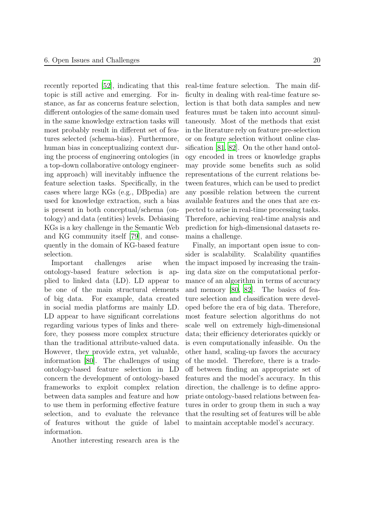recently reported [\[52](#page-22-19)], indicating that this topic is still active and emerging. For instance, as far as concerns feature selection, different ontologies of the same domain used in the same knowledge extraction tasks will most probably result in different set of features selected (schema-bias). Furthermore, human bias in conceptualizing context during the process of engineering ontologies (in a top-down collaborative ontology engineering approach) will inevitably influence the feature selection tasks. Specifically, in the cases where large KGs (e.g., DBpedia) are used for knowledge extraction, such a bias is present in both conceptual/schema (ontology) and data (entities) levels. Debiasing KGs is a key challenge in the Semantic Web and KG community itself [\[79](#page-23-19)], and consequently in the domain of KG-based feature selection.

Important challenges arise when ontology-based feature selection is applied to linked data (LD). LD appear to be one of the main structural elements of big data. For example, data created in social media platforms are mainly LD. LD appear to have significant correlations regarding various types of links and therefore, they possess more complex structure than the traditional attribute-valued data. However, they provide extra, yet valuable, information [\[80\]](#page-24-0). The challenges of using ontology-based feature selection in LD concern the development of ontology-based frameworks to exploit complex relation between data samples and feature and how to use them in performing effective feature selection, and to evaluate the relevance of features without the guide of label information.

Another interesting research area is the

real-time feature selection. The main difficulty in dealing with real-time feature selection is that both data samples and new features must be taken into account simultaneously. Most of the methods that exist in the literature rely on feature pre-selection or on feature selection without online classification [\[81,](#page-24-1) [82](#page-24-2)]. On the other hand ontology encoded in trees or knowledge graphs may provide some benefits such as solid representations of the current relations between features, which can be used to predict any possible relation between the current available features and the ones that are expected to arise in real-time processing tasks. Therefore, achieving real-time analysis and prediction for high-dimensional datasets remains a challenge.

Finally, an important open issue to consider is scalability. Scalability quantifies the impact imposed by increasing the training data size on the computational performance of an algorithm in terms of accuracy and memory [\[80,](#page-24-0) [82\]](#page-24-2). The basics of feature selection and classification were developed before the era of big data. Therefore, most feature selection algorithms do not scale well on extremely high-dimensional data; their efficiency deteriorates quickly or is even computationally infeasible. On the other hand, scaling-up favors the accuracy of the model. Therefore, there is a tradeoff between finding an appropriate set of features and the model's accuracy. In this direction, the challenge is to define appropriate ontology-based relations between features in order to group them in such a way that the resulting set of features will be able to maintain acceptable model's accuracy.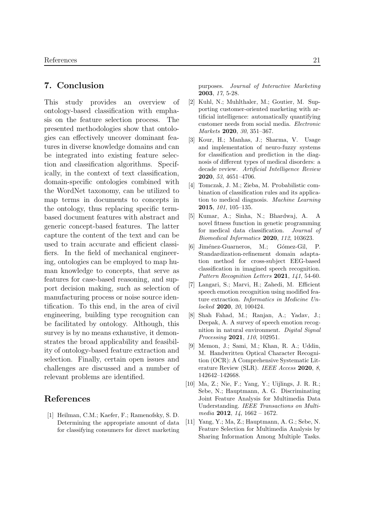#### 7. Conclusion

This study provides an overview of ontology-based classification with emphasis on the feature selection process. The presented methodologies show that ontologies can effectively uncover dominant features in diverse knowledge domains and can be integrated into existing feature selection and classification algorithms. Specifically, in the context of text classification, domain-specific ontologies combined with the WordNet taxonomy, can be utilized to map terms in documents to concepts in the ontology, thus replacing specific termbased document features with abstract and generic concept-based features. The latter capture the content of the text and can be used to train accurate and efficient classifiers. In the field of mechanical engineering, ontologies can be employed to map human knowledge to concepts, that serve as features for case-based reasoning, and support decision making, such as selection of manufacturing process or noise source identification. To this end, in the area of civil engineering, building type recognition can be facilitated by ontology. Although, this survey is by no means exhaustive, it demonstrates the broad applicability and feasibility of ontology-based feature extraction and selection. Finally, certain open issues and challenges are discussed and a number of relevant problems are identified.

### References

<span id="page-20-0"></span>[1] Heilman, C.M.; Kaefer, F.; Ramenofsky, S. D. Determining the appropriate amount of data for classifying consumers for direct marketing purposes. Journal of Interactive Marketing 2003, 17, 5-28.

- <span id="page-20-1"></span>[2] Kuhl, N.; Muhlthaler, M.; Goutier, M. Supporting customer-oriented marketing with artificial intelligence: automatically quantifying customer needs from social media. Electronic Markets 2020, 30, 351–367.
- <span id="page-20-2"></span>[3] Kour, H.; Manhas, J.; Sharma, V. Usage and implementation of neuro-fuzzy systems for classification and prediction in the diagnosis of different types of medical disorders: a decade review. Artificial Intelligence Review 2020, 53, 4651–4706.
- <span id="page-20-3"></span>[4] Tomczak, J. M.; Zieba, M. Probabilistic combination of classification rules and its application to medical diagnosis. Machine Learning 2015, 101, 105–135.
- <span id="page-20-4"></span>[5] Kumar, A.; Sinha, N.; Bhardwaj, A. A novel fitness function in genetic programming for medical data classification. Journal of Biomedical Informatics 2020, 112, 103623.
- <span id="page-20-5"></span>[6] Jiménez-Guarneros, M.: Gómez-Gil, P. Standardization-refinement domain adaptation method for cross-subject EEG-based classification in imagined speech recognition. Pattern Recognition Letters 2021, 141, 54-60.
- <span id="page-20-6"></span>[7] Langari, S.; Marvi, H.; Zahedi, M. Efficient speech emotion recognition using modified feature extraction. Informatics in Medicine Unlocked **2020**, 20, 100424.
- <span id="page-20-7"></span>[8] Shah Fahad, M.; Ranjan, A.; Yadav, J.; Deepak, A. A survey of speech emotion recognition in natural environment. Digital Signal Processing 2021, 110, 102951.
- <span id="page-20-8"></span>[9] Memon, J.; Sami, M.; Khan, R. A.; Uddin, M. Handwritten Optical Character Recognition (OCR): A Comprehensive Systematic Literature Review (SLR). IEEE Access 2020, 8, 142642–142668.
- <span id="page-20-9"></span>[10] Ma, Z.; Nie, F.; Yang, Y.; Uijlings, J. R. R.; Sebe, N.; Hauptmann, A. G. Discriminating Joint Feature Analysis for Multimedia Data Understanding. IEEE Transactions on Multimedia 2012, 14, 1662 – 1672.
- <span id="page-20-10"></span>[11] Yang, Y.; Ma, Z.; Hauptmann, A. G.; Sebe, N. Feature Selection for Multimedia Analysis by Sharing Information Among Multiple Tasks.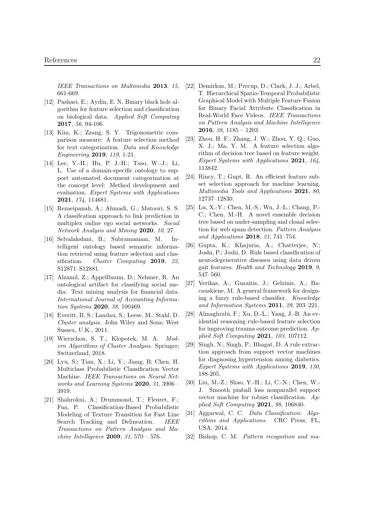IEEE Transactions on Multimedia 2013, 15, 661-669.

- <span id="page-21-0"></span>[12] Pashaei, E.; Aydin, E. N. Binary black hole algorithm for feature selection and classification on biological data. Applied Soft Computing 2017, 56, 94-106.
- <span id="page-21-1"></span>[13] Kim, K.; Zzang, S. Y. Trigonometric comparison measure: A feature selection method for text categorization. Data and Knowledge Engineering 2019, 119, 1-21.
- <span id="page-21-2"></span>[14] Lee, Y.-H.; Hu, P. J.-H.; Tsao, W.-J.; Li, L. Use of a domain-specific ontology to support automated document categorization at the concept level: Method development and evaluation. Expert Systems with Applications 2021, 174, 114681.
- <span id="page-21-3"></span>[15] Rezaeipanah, A.; Ahmadi, G.; Matoori, S. S. A classifcation approach to link prediction in multiplex online ego social networks. Social Network Analysis and Mining 2020, 10, 27.
- <span id="page-21-4"></span>[16] Selvalakshmi, B.; Subramaniam, M. Intelligent ontology based semantic information retrieval using feature selection and classification. Cluster Computing 2019, 22, S12871–S12881.
- <span id="page-21-5"></span>[17] Alzamil, Z.; Appellbaum, D.; Nehmer, R. An ontological artifact for classifying social media: Text mining analysis for financial data. International Journal of Accounting Information Systems **2020**, 38, 100469.
- <span id="page-21-6"></span>[18] Everitt, B. S.; Landau, S.; Leese, M.; Stahl, D. Cluster analysis. John Wiley and Sons; West Sussex, U.K., 2011.
- <span id="page-21-7"></span>[19] Wierzchon, S. T.; Klopotek, M. A. Modern Algorithms of Cluster Analysis. Springer; Switzerland, 2018.
- <span id="page-21-8"></span>[20] Lyu, S.; Tian, X.; Li, Y.; Jiang, B; Chen, H. Multiclass Probabilistic Classification Vector Machine. IEEE Transactions on Neural Networks and Learning Systems 2020, 31, 3906 – 3919.
- <span id="page-21-9"></span>[21] Shahrokni, A.; Drummond, T.; Fleuret, F.; Fua, P. Classification-Based Probabilistic Modeling of Texture Transition for Fast Line Search Tracking and Delineation. IEEE Transactions on Pattern Analysis and Ma*chine Intelligence* **2009**, 31, 570 – 576.
- <span id="page-21-10"></span>[22] Demirkus, M.; Precup, D.; Clark, J. J.; Arbel, T. Hierarchical Spatio-Temporal Probabilistic Graphical Model with Multiple Feature Fusion for Binary Facial Attribute Classification in Real-World Face Videos. IEEE Transactions on Pattern Analysis and Machine Intelligence 2016, 38, 1185 – 1203.
- <span id="page-21-11"></span>[23] Zhou, H. F.; Zhang, J. W.; Zhou, Y. Q.; Guo, X. J.; Ma, Y. M. A feature selection algorithm of decision tree based on feature weight. Expert Systems with Applications 2021, 164, 113842.
- <span id="page-21-12"></span>[24] Rincy, T.; Gupt, R. An efficient feature subset selection approach for machine learning. Multimedia Tools and Applications 2021, 80, 12737–12830.
- <span id="page-21-13"></span>[25] Lu, X.-Y.; Chen, M.-S.; Wu, J.-L.; Chang, P.- C.; Chen, M.-H. A novel ensemble decision tree based on under-sampling and clonal selection for web spam detection. Pattern Analysis and Applications 2018, 21, 741–754.
- <span id="page-21-14"></span>[26] Gupta, K.; Khajuria, A.; Chatterjee, N.; Joshi, P.; Joshi, D. Rule based classification of neurodegenerative diseases using data driven gait features. Health and Technology 2019, 9, 547–560.
- <span id="page-21-15"></span>[27] Verikas, A.; Guzaitis, J.; Gelzinis, A.; Bacauskiene, M. A general framework for designing a fuzzy rule-based classifier. Knowledge and Information Systems 2011, 29, 203–221.
- <span id="page-21-16"></span>[28] Almaghrabi, F.; Xu, D.-L.; Yang, J.-B. An evidential reasoning rule-based feature selection for improving trauma outcome prediction.  $Ap$ plied Soft Computing 2021, 103, 107112.
- <span id="page-21-17"></span>[29] Singh, N.; Singh, P.; Bhagat, D. A rule extraction approach from support vector machines for diagnosing hypertension among diabetics. Expert Systems with Applications 2019, 130, 188-205.
- <span id="page-21-18"></span>[30] Liu, M.-Z.; Shao, Y.-H.; Li, C.-N.; Chen, W.- J. Smooth pinball loss nonparallel support vector machine for robust classification. Applied Soft Computing 2021, 98, 106840.
- <span id="page-21-19"></span>[31] Aggarwal, C. C. Data Classification: Algorithms and Applications. CRC Press; FL, USA, 2014.
- <span id="page-21-20"></span>[32] Bishop, C. M. Pattern recognition and ma-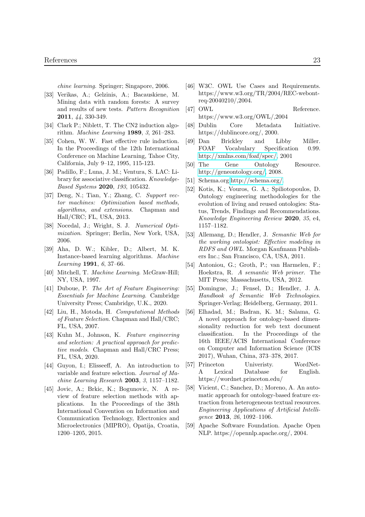chine learning. Springer; Singapore, 2006.

- <span id="page-22-0"></span>[33] Verikas, A.; Gelzinis, A.; Bacauskiene, M. Mining data with random forests: A survey and results of new tests. Pattern Recognition 2011, 44, 330-349.
- <span id="page-22-1"></span>[34] Clark P.; Niblett, T. The CN2 induction algorithm. Machine Learning 1989, 3, 261–283.
- <span id="page-22-2"></span>[35] Cohen, W. W. Fast effective rule induction. In the Proceedings of the 12th International Conference on Machine Learning, Tahoe City, California, July 9–12, 1995, 115-123.
- <span id="page-22-3"></span>[36] Padillo, F.; Luna, J. M.; Ventura, S. LAC: Library for associative classification. Knowledge-Based Systems 2020, 193, 105432.
- <span id="page-22-4"></span>[37] Deng, N.; Tian, Y.; Zhang, C. Support vector machines: Optimization based methods, algorithms, and extensions. Chapman and Hall/CRC; FL, USA, 2013.
- <span id="page-22-5"></span>[38] Nocedal, J.; Wright, S. J. Numerical Optimization. Springer; Berlin, New York, USA, 2006.
- <span id="page-22-6"></span>[39] Aha, D. W.; Kibler, D.; Albert, M. K. Instance-based learning algorithms. Machine Learning 1991, 6, 37–66.
- <span id="page-22-7"></span>[40] Mitchell, T. Machine Learning. McGraw-Hill; NY, USA, 1997.
- <span id="page-22-8"></span>[41] Duboue, P. The Art of Feature Engineering: Essentials for Machine Learning. Cambridge University Press; Cambridge, U.K., 2020.
- <span id="page-22-9"></span>[42] Liu, H., Motoda, H. Computational Methods of Feature Selection. Chapman and Hall/CRC; FL, USA, 2007.
- <span id="page-22-10"></span>[43] Kuhn M., Johnson, K. Feature engineering and selection: A practical approach for predictive models. Chapman and Hall/CRC Press; FL, USA, 2020.
- <span id="page-22-11"></span>[44] Guyon, I.; Elisseeff, A. An introduction to variable and feature selection. Journal of Machine Learning Research 2003, 3, 1157–1182.
- <span id="page-22-12"></span>[45] Jovic, A.; Brkic, K.; Bogunovic, N. A review of feature selection methods with applications. In the Proceedings of the 38th International Convention on Information and Communication Technology, Electronics and Microelectronics (MIPRO), Opatija, Croatia, 1200–1205, 2015.
- <span id="page-22-13"></span>[46] W3C. OWL Use Cases and Requirements. https://www.w3.org/TR/2004/REC-webontreq-20040210/,2004.
- <span id="page-22-14"></span>[47] OWL Reference. https://www.w3.org/OWL/,2004
- <span id="page-22-15"></span>[48] Dublin Core Metadata Initiative. https://dublincore.org/, 2000.
- <span id="page-22-16"></span>[49] Dan Brickley and Libby Miller. FOAF Vocabulary Specification 0.99. [http://xmlns.com/foaf/spec/,](http://xmlns.com/foaf/spec/) 2001
- <span id="page-22-17"></span>[50] The Gene Ontology Resource. [http://geneontology.org/,](http://geneontology.org/) 2008.
- <span id="page-22-18"></span>[51] Schema.org[.http://schema.org/.](http://schema.org/)
- <span id="page-22-19"></span>[52] Kotis, K.; Vouros, G. A.; Spiliotopoulos, D. Ontology engineering methodologies for the evolution of living and reused ontologies: Status, Trends, Findings and Recommendations. Knowledge Engineering Review 2020, 35, e4, 1157–1182.
- <span id="page-22-20"></span>[53] Allemang, D.; Hendler, J. Semantic Web for the working ontologist: Effective modeling in RDFS and OWL. Morgan Kaufmann Publishers Inc.; San Francisco, CA, USA, 2011.
- <span id="page-22-21"></span>[54] Antoniou, G.; Groth, P.; van Harmelen, F.; Hoekstra, R. A semantic Web primer. The MIT Press; Massachusetts, USA, 2012.
- <span id="page-22-22"></span>[55] Domingue, J.; Fensel, D.; Hendler, J. A. Handbook of Semantic Web Technologies. Springer-Verlag; Heidelberg, Germany, 2011.
- <span id="page-22-23"></span>[56] Elhadad, M.; Badran, K. M.; Salama, G. A novel approach for ontology-based dimensionality reduction for web text document classification. In the Proceedings of the 16th IEEE/ACIS International Conference on Computer and Information Science (ICIS 2017), Wuhan, China, 373–378, 2017.
- <span id="page-22-24"></span>[57] Princeton Univeristy. WordNet-A Lexical Database for English. https://wordnet.princeton.edu/
- <span id="page-22-25"></span>[58] Vicient, C.; Sanchez, D.; Moreno, A. An automatic approach for ontology-based feature extraction from heterogeneous textual resources. Engineering Applications of Artificial Intelligence 2013, 26, 1092–1106.
- <span id="page-22-26"></span>[59] Apache Software Foundation. Apache Open NLP. https://opennlp.apache.org/, 2004.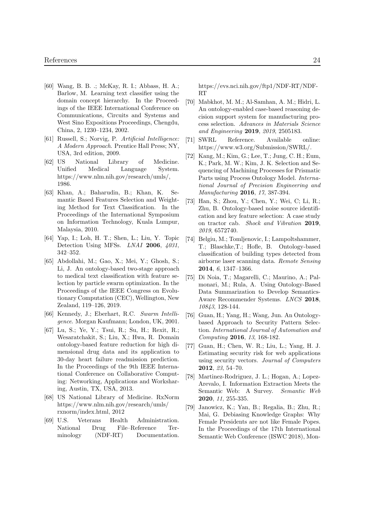- <span id="page-23-0"></span>[60] Wang, B. B. .; McKay, R. I.; Abbass, H. A.; Barlow, M. Learning text classifier using the domain concept hierarchy. In the Proceedings of the IEEE International Conference on Communications, Circuits and Systems and West Sino Expositions Proceedings, Chengdu, China, 2, 1230–1234, 2002.
- <span id="page-23-1"></span>[61] Russell, S.; Norvig, P. Artificial Intelligence: A Modern Approach. Prentice Hall Press; NY, USA, 3rd edition, 2009.
- <span id="page-23-2"></span>[62] US National Library of Medicine. Unified Medical Language System. https://www.nlm.nih.gov/research/umls/, 1986.
- <span id="page-23-3"></span>[63] Khan, A.; Baharudin, B.; Khan, K. Semantic Based Features Selection and Weighting Method for Text Classification. In the Proceedings of the International Symposium on Information Technology, Kuala Lumpur, Malaysia, 2010.
- <span id="page-23-4"></span>[64] Yap, I.; Loh, H. T.; Shen, L.; Liu, Y. Topic Detection Using MFSs. LNAI 2006, 4031, 342–352.
- <span id="page-23-5"></span>[65] Abdollahi, M.; Gao, X.; Mei, Y.; Ghosh, S.; Li, J. An ontology-based two-stage approach to medical text classification with feature selection by particle swarm optimization. In the Proceedings of the IEEE Congress on Evolutionary Computation (CEC), Wellington, New Zealand, 119–126, 2019.
- <span id="page-23-6"></span>[66] Kennedy, J.; Eberhart, R.C. Swarm Intelligence. Morgan Kaufmann; London, UK, 2001.
- <span id="page-23-7"></span>[67] Lu, S.; Ye, Y.; Tsui, R.; Su, H.; Rexit, R.; Wesaratchakit, S.; Liu, X.; Hwa, R. Domain ontology-based feature reduction for high dimensional drug data and its application to 30-day heart failure readmission prediction. In the Proceedings of the 9th IEEE International Conference on Collaborative Computing: Networking, Applications and Worksharing, Austin, TX, USA, 2013.
- <span id="page-23-8"></span>[68] US National Library of Medicine. RxNorm https://www.nlm.nih.gov/research/umls/ rxnorm/index.html, 2012
- <span id="page-23-9"></span>[69] U.S. Veterans Health Administration. National Drug File–Reference Terminology (NDF-RT) Documentation.

https://evs.nci.nih.gov/ftp1/NDF-RT/NDF-RT

- <span id="page-23-10"></span>[70] Mabkhot, M. M.; Al-Samhan, A. M.; Hidri, L. An ontology-enabled case-based reasoning decision support system for manufacturing process selection. Advances in Materials Science and Engineering 2019, 2019, 2505183.
- <span id="page-23-11"></span>[71] SWRL Reference. Available online: https://www.w3.org/Submission/SWRL/.
- <span id="page-23-12"></span>[72] Kang, M.; Kim, G.; Lee, T.; Jung, C. H.; Eum, K.; Park, M. W.; Kim, J. K. Selection and Sequencing of Machining Processes for Prismatic Parts using Process Ontology Model. International Journal of Precision Engineering and Manufacturing 2016, 17, 387-394.
- <span id="page-23-13"></span>[73] Han, S.; Zhou, Y.; Chen, Y.; Wei, C; Li, R.; Zhu, B. Ontology-based noise source identification and key feature selection: A case study on tractor cab. Shock and Vibration 2019, 2019, 6572740.
- <span id="page-23-14"></span>[74] Belgiu, M.; Tomljenovic, I.; Lampoltshammer, T.; Blaschke,T.; Hofle, B. Ontology-based classification of building types detected from airborne laser scanning data. Remote Sensing 2014, 6, 1347–1366.
- <span id="page-23-15"></span>[75] Di Noia, T.; Magarelli, C.; Maurino, A.; Palmonari, M.; Rula, A. Using Ontology-Based Data Summarization to Develop Semantics-Aware Recommender Systems. LNCS 2018, 10843, 128-144.
- <span id="page-23-16"></span>[76] Guan, H.; Yang, H.; Wang, Jun. An Ontologybased Approach to Security Pattern Selection. International Journal of Automation and Computing 2016, 13, 168-182.
- <span id="page-23-17"></span>[77] Guan, H.; Chen, W. R.; Liu, L.; Yang, H. J. Estimating security risk for web applications using security vectors. Journal of Computers 2012, 23, 54–70.
- <span id="page-23-18"></span>[78] Martinez-Rodriguez, J. L.; Hogan, A.; Lopez-Arevalo, I. Information Extraction Meets the Semantic Web: A Survey. Semantic Web 2020, 11, 255-335.
- <span id="page-23-19"></span>[79] Janowicz, K.; Yan, B.; Regalia, B.; Zhu, R.; Mai, G. Debiasing Knowledge Graphs: Why Female Presidents are not like Female Popes. In the Proceedings of the 17th International Semantic Web Conference (ISWC 2018), Mon-